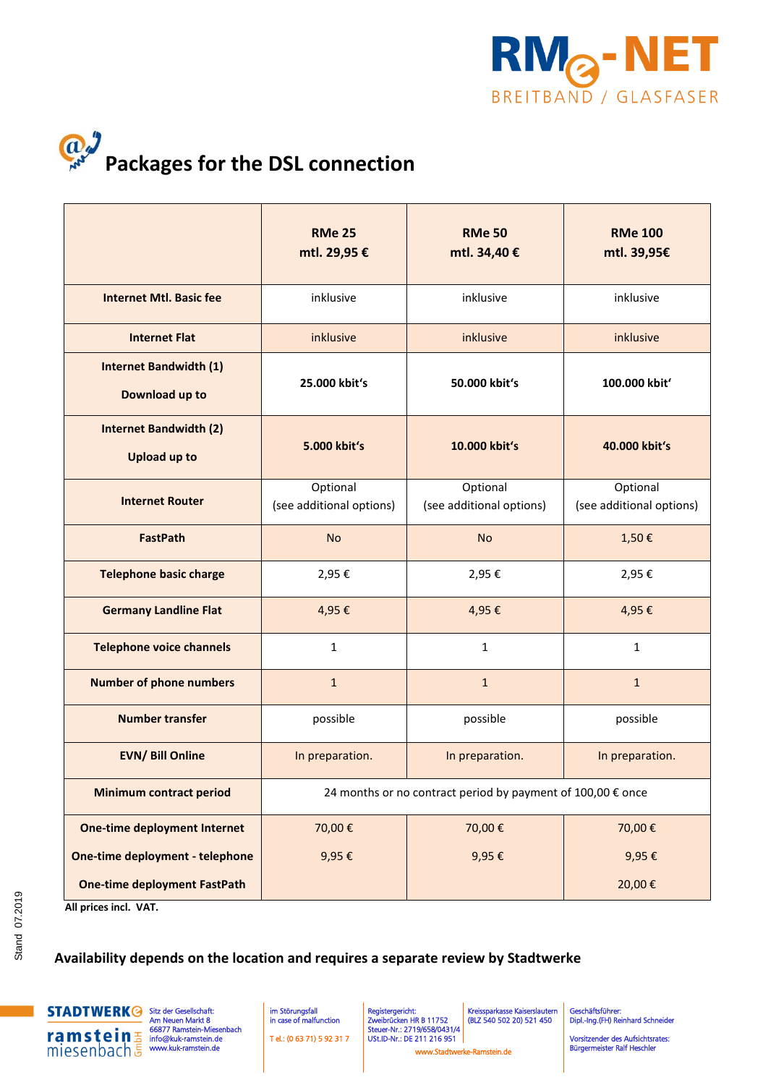

## $a^j$ **Packages for the DSL connection**

|                                                      | <b>RMe 25</b><br>mtl. 29,95 €                               | <b>RMe 50</b><br>mtl. 34,40 €        | <b>RMe 100</b><br>mtl. 39,95€        |  |
|------------------------------------------------------|-------------------------------------------------------------|--------------------------------------|--------------------------------------|--|
| <b>Internet Mtl. Basic fee</b>                       | inklusive                                                   | inklusive                            | inklusive                            |  |
| <b>Internet Flat</b>                                 | inklusive                                                   | inklusive                            | inklusive                            |  |
| <b>Internet Bandwidth (1)</b><br>Download up to      | 25.000 kbit's                                               | 50.000 kbit's                        | 100.000 kbit'                        |  |
| <b>Internet Bandwidth (2)</b><br><b>Upload up to</b> | 5.000 kbit's                                                | 10.000 kbit's                        | 40.000 kbit's                        |  |
| <b>Internet Router</b>                               | Optional<br>(see additional options)                        | Optional<br>(see additional options) | Optional<br>(see additional options) |  |
| <b>FastPath</b>                                      | <b>No</b>                                                   | <b>No</b>                            | 1,50€                                |  |
| <b>Telephone basic charge</b>                        | 2,95€                                                       | 2,95€                                | 2,95€                                |  |
| <b>Germany Landline Flat</b>                         | 4,95€                                                       | 4,95€                                | 4,95€                                |  |
| <b>Telephone voice channels</b>                      | $\mathbf{1}$                                                | $\mathbf{1}$                         | $\mathbf{1}$                         |  |
| <b>Number of phone numbers</b>                       | $1\,$                                                       | $\mathbf{1}$                         | $\mathbf{1}$                         |  |
| <b>Number transfer</b>                               | possible                                                    | possible                             | possible                             |  |
| <b>EVN/ Bill Online</b>                              | In preparation.                                             | In preparation.                      | In preparation.                      |  |
| <b>Minimum contract period</b>                       | 24 months or no contract period by payment of 100,00 € once |                                      |                                      |  |
| <b>One-time deployment Internet</b>                  | 70,00€                                                      | 70,00€                               | 70,00€                               |  |
| One-time deployment - telephone                      | 9,95€                                                       | 9,95€                                | 9,95€                                |  |
| <b>One-time deployment FastPath</b>                  |                                                             |                                      | 20,00€                               |  |

 **All prices incl. VAT.** 

## **Availability depends on the location and requires a separate review by Stadtwerke**



Sitz der Gesellschaft: Am Neuen Markt 8 66877 Ramstein-Miesenbach  [info@kuk-ramstein.de](mailto:info@kuk-ramstein.de)  www.kuk-ramstein.de

 im Störungsfall in case of malfunction T el.: (0 63 71) 5 92 31 7  Registergericht: Zweibrücken HR B 11752 Steuer-Nr.: 2719/658/0431/4 USt.ID-Nr.: DE 211 216 951 Kreissparkasse Kaiserslautern (BLZ 540 502 20) 521 450

Geschäftsführer: Dipl.-Ing.(FH) Reinhard Schneider

Vorsitzender des Aufsichtsrates: Bürgermeister Ralf Heschler www.Stadtwerke-Ramstein.de